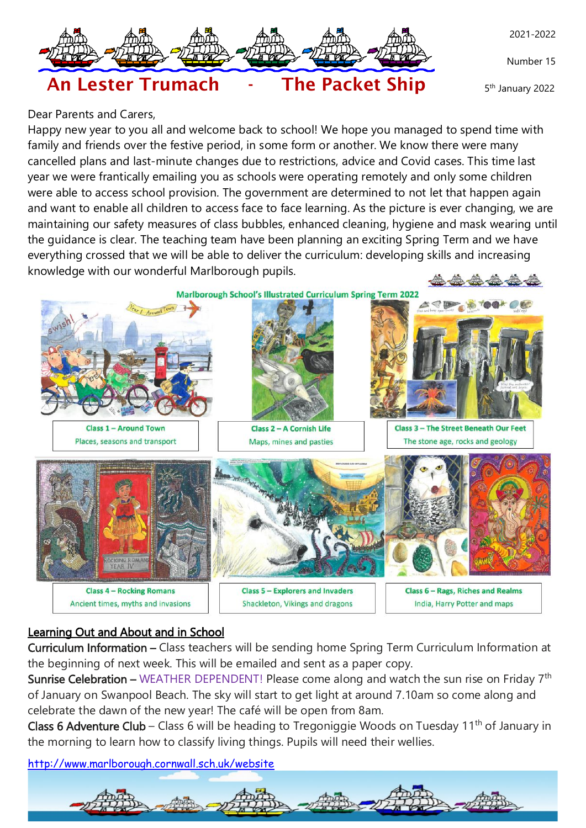

Number 15

5 th January 2022



# Dear Parents and Carers,

Happy new year to you all and welcome back to school! We hope you managed to spend time with family and friends over the festive period, in some form or another. We know there were many cancelled plans and last-minute changes due to restrictions, advice and Covid cases. This time last year we were frantically emailing you as schools were operating remotely and only some children were able to access school provision. The government are determined to not let that happen again and want to enable all children to access face to face learning. As the picture is ever changing, we are maintaining our safety measures of class bubbles, enhanced cleaning, hygiene and mask wearing until the guidance is clear. The teaching team have been planning an exciting Spring Term and we have everything crossed that we will be able to deliver the curriculum: developing skills and increasing knowledge with our wonderful Marlborough pupils.

Marlborough School's Illustrated Curriculum Spring Term 2022



**Class 1 - Around Town** Places, seasons and transport



Class 2 - A Cornish Life Maps, mines and pasties



**Class 3 - The Street Beneath Our Feet** The stone age, rocks and geology



## Learning Out and About and in School

Curriculum Information – Class teachers will be sending home Spring Term Curriculum Information at the beginning of next week. This will be emailed and sent as a paper copy.

**Sunrise Celebration –** WEATHER DEPENDENT! Please come along and watch the sun rise on Friday  $7<sup>th</sup>$ of January on Swanpool Beach. The sky will start to get light at around 7.10am so come along and celebrate the dawn of the new year! The café will be open from 8am.

Class 6 Adventure Club – Class 6 will be heading to Tregoniggie Woods on Tuesday 11<sup>th</sup> of January in the morning to learn how to classify living things. Pupils will need their wellies.

<http://www.marlborough.cornwall.sch.uk/website>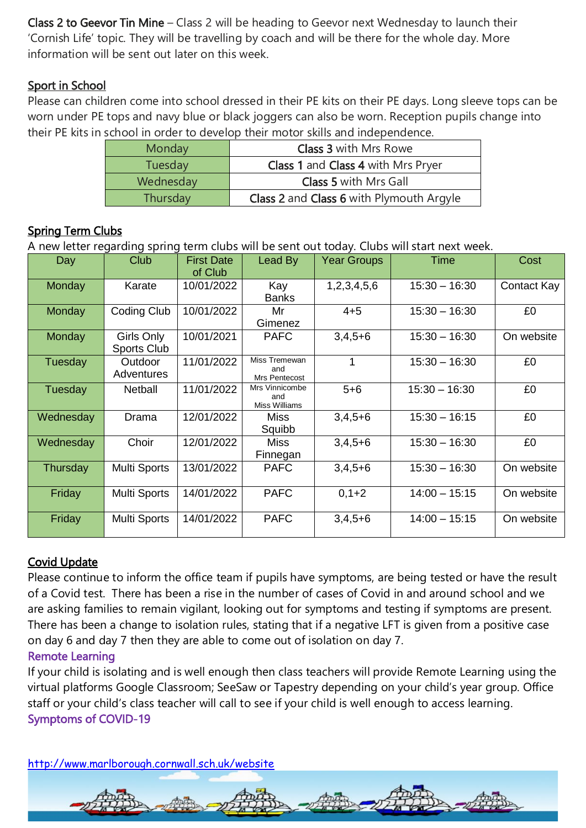Class 2 to Geevor Tin Mine – Class 2 will be heading to Geevor next Wednesday to launch their 'Cornish Life' topic. They will be travelling by coach and will be there for the whole day. More information will be sent out later on this week.

## Sport in School

Please can children come into school dressed in their PE kits on their PE days. Long sleeve tops can be worn under PE tops and navy blue or black joggers can also be worn. Reception pupils change into their PE kits in school in order to develop their motor skills and independence.

| <b>Monday</b> | <b>Class 3 with Mrs Rowe</b>              |  |  |  |  |
|---------------|-------------------------------------------|--|--|--|--|
| Tuesday       | <b>Class 1 and Class 4 with Mrs Pryer</b> |  |  |  |  |
| Wednesday     | <b>Class 5 with Mrs Gall</b>              |  |  |  |  |
| Thursday      | Class 2 and Class 6 with Plymouth Argyle  |  |  |  |  |

## **Spring Term Clubs**

A new letter regarding spring term clubs will be sent out today. Clubs will start next week.

| Day       | Club                             | <b>First Date</b><br>of Club | Lead By                                       | <b>Year Groups</b> | <b>Time</b>     | Cost        |
|-----------|----------------------------------|------------------------------|-----------------------------------------------|--------------------|-----------------|-------------|
| Monday    | Karate                           | 10/01/2022                   | Kay<br><b>Banks</b>                           | 1,2,3,4,5,6        | $15:30 - 16:30$ | Contact Kay |
| Monday    | Coding Club                      | 10/01/2022                   | Mr<br>Gimenez                                 | $4 + 5$            | $15:30 - 16:30$ | £0          |
| Monday    | Girls Only<br><b>Sports Club</b> | 10/01/2021                   | <b>PAFC</b>                                   | $3,4,5+6$          | $15:30 - 16:30$ | On website  |
| Tuesday   | Outdoor<br>Adventures            | 11/01/2022                   | Miss Tremewan<br>and<br>Mrs Pentecost         | 1                  | $15:30 - 16:30$ | £0          |
| Tuesday   | <b>Netball</b>                   | 11/01/2022                   | Mrs Vinnicombe<br>and<br><b>Miss Williams</b> | $5 + 6$            | $15:30 - 16:30$ | £0          |
| Wednesday | Drama                            | 12/01/2022                   | Miss<br>Squibb                                | $3,4,5+6$          | $15:30 - 16:15$ | £0          |
| Wednesday | Choir                            | 12/01/2022                   | <b>Miss</b><br>Finnegan                       | $3,4,5+6$          | $15:30 - 16:30$ | £0          |
| Thursday  | <b>Multi Sports</b>              | 13/01/2022                   | <b>PAFC</b>                                   | $3,4,5+6$          | $15:30 - 16:30$ | On website  |
| Friday    | <b>Multi Sports</b>              | 14/01/2022                   | <b>PAFC</b>                                   | $0,1+2$            | $14:00 - 15:15$ | On website  |
| Friday    | <b>Multi Sports</b>              | 14/01/2022                   | <b>PAFC</b>                                   | $3,4,5+6$          | $14:00 - 15:15$ | On website  |

## Covid Update

Please continue to inform the office team if pupils have symptoms, are being tested or have the result of a Covid test. There has been a rise in the number of cases of Covid in and around school and we are asking families to remain vigilant, looking out for symptoms and testing if symptoms are present. There has been a change to isolation rules, stating that if a negative LFT is given from a positive case on day 6 and day 7 then they are able to come out of isolation on day 7.

#### Remote Learning

If your child is isolating and is well enough then class teachers will provide Remote Learning using the virtual platforms Google Classroom; SeeSaw or Tapestry depending on your child's year group. Office staff or your child's class teacher will call to see if your child is well enough to access learning. Symptoms of COVID-19

<http://www.marlborough.cornwall.sch.uk/website>